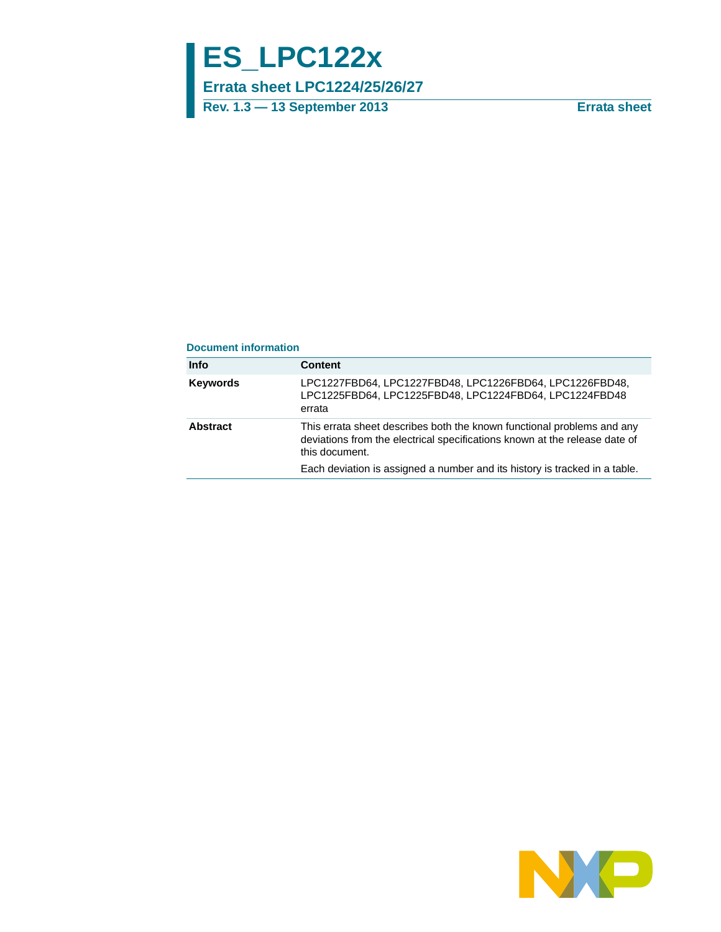# **ES\_LPC122x**

**Errata sheet LPC1224/25/26/27**

**Rev. 1.3 — 13 September 2013 Errata sheet**

#### **Document information**

| <b>Info</b>     | <b>Content</b>                                                                                                                                                         |
|-----------------|------------------------------------------------------------------------------------------------------------------------------------------------------------------------|
| <b>Keywords</b> | LPC1227FBD64, LPC1227FBD48, LPC1226FBD64, LPC1226FBD48,<br>LPC1225FBD64, LPC1225FBD48, LPC1224FBD64, LPC1224FBD48<br>errata                                            |
| Abstract        | This errata sheet describes both the known functional problems and any<br>deviations from the electrical specifications known at the release date of<br>this document. |
|                 | Each deviation is assigned a number and its history is tracked in a table.                                                                                             |

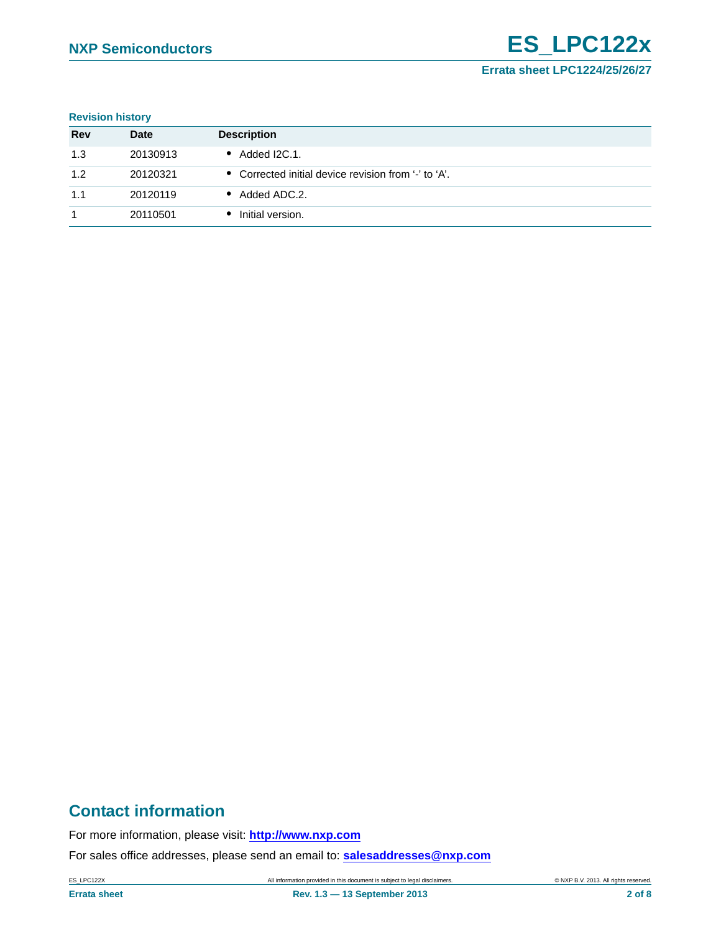#### **Revision history**

| <b>Rev</b> | <b>Date</b> | <b>Description</b>                                   |
|------------|-------------|------------------------------------------------------|
| 1.3        | 20130913    | Added I2C.1.                                         |
| 1.2        | 20120321    | • Corrected initial device revision from '-' to 'A'. |
| 1.1        | 20120119    | • Added ADC.2.                                       |
|            | 20110501    | Initial version.                                     |

# **Contact information**

For more information, please visit: **http://www.nxp.com**

For sales office addresses, please send an email to: **salesaddresses@nxp.com**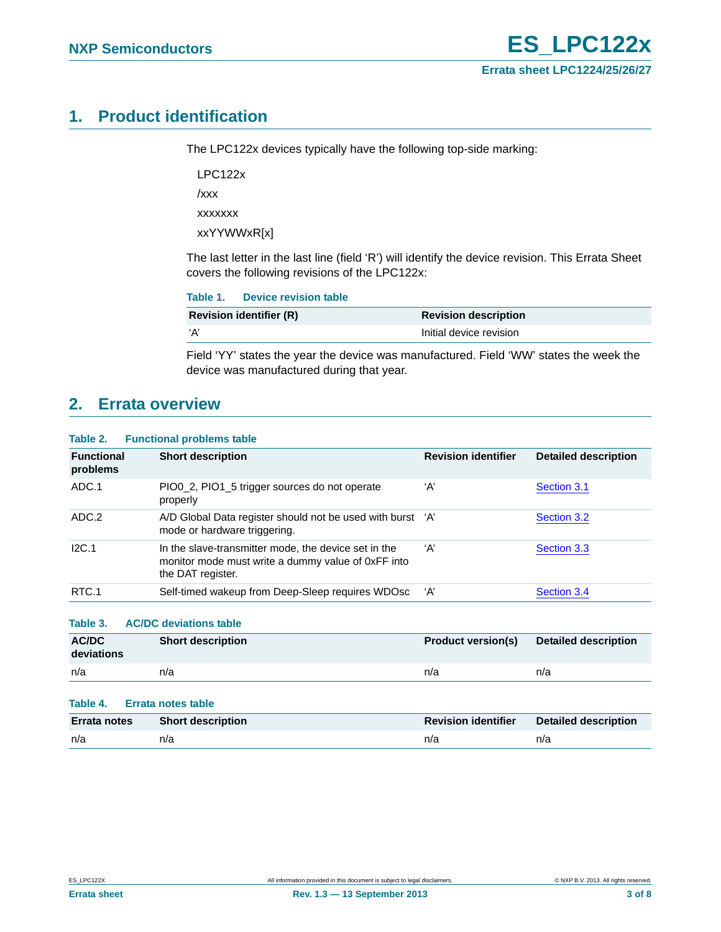# <span id="page-2-0"></span>**1. Product identification**

The LPC122x devices typically have the following top-side marking:

LPC122x

/xxx

xxxxxxx

xxYYWWxR[x]

The last letter in the last line (field 'R') will identify the device revision. This Errata Sheet covers the following revisions of the LPC122x:

| <b>Revision identifier (R)</b> |                             |
|--------------------------------|-----------------------------|
|                                | <b>Revision description</b> |
| ʻA'                            | Initial device revision     |

Field 'YY' states the year the device was manufactured. Field 'WW' states the week the device was manufactured during that year.

# <span id="page-2-1"></span>**2. Errata overview**

#### **Table 2. Functional problems table**

| <b>Functional</b><br>problems | <b>Short description</b>                                                                                                        | <b>Revision identifier</b> | <b>Detailed description</b> |
|-------------------------------|---------------------------------------------------------------------------------------------------------------------------------|----------------------------|-----------------------------|
| ADC.1                         | PIO0 2, PIO1 5 trigger sources do not operate<br>properly                                                                       | ʻА'                        | Section 3.1                 |
| ADC.2                         | A/D Global Data register should not be used with burst 'A'<br>mode or hardware triggering.                                      |                            | Section 3.2                 |
| I2C.1                         | In the slave-transmitter mode, the device set in the<br>monitor mode must write a dummy value of 0xFF into<br>the DAT register. | A'                         | Section 3.3                 |
| RTC.1                         | Self-timed wakeup from Deep-Sleep requires WDOsc                                                                                | 'A'                        | Section 3.4                 |
| Table 3.                      | <b>AC/DC deviations table</b>                                                                                                   |                            |                             |

| <b>AC/DC</b><br>deviations | <b>Short description</b> | <b>Product version(s)</b> | <b>Detailed description</b> |
|----------------------------|--------------------------|---------------------------|-----------------------------|
| n/a                        | n/a                      | n/a                       | n/a                         |

#### **Table 4. Errata notes table**

| Errata notes | <b>Short description</b> | <b>Revision identifier</b> | <b>Detailed description</b> |
|--------------|--------------------------|----------------------------|-----------------------------|
| n/a          | n/a                      | n/a                        | n/a                         |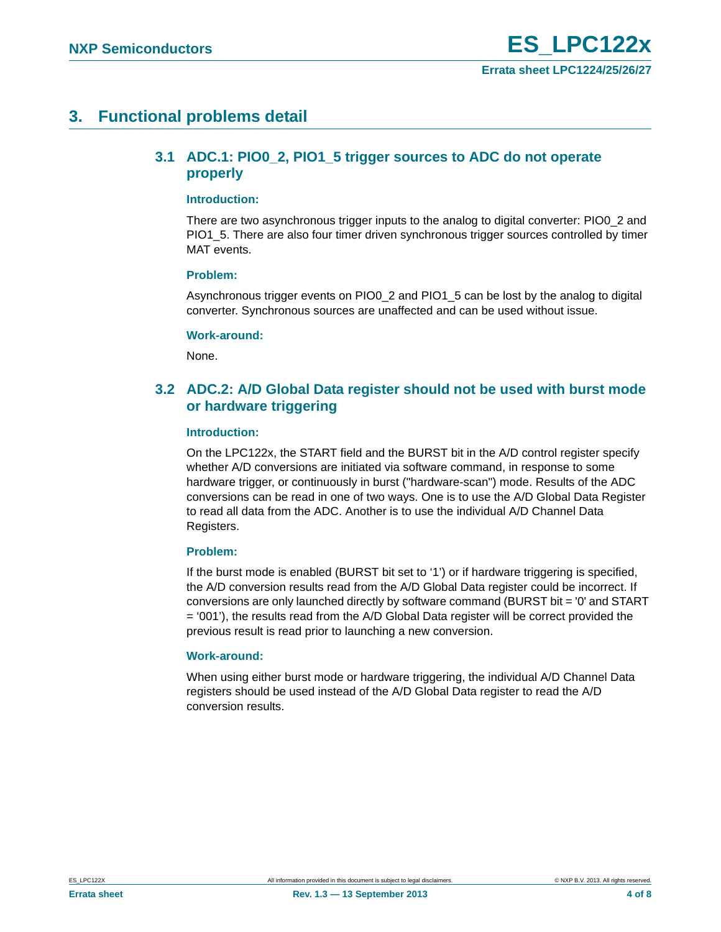# <span id="page-3-2"></span><span id="page-3-0"></span>**3. Functional problems detail**

### **3.1 ADC.1: PIO0\_2, PIO1\_5 trigger sources to ADC do not operate properly**

#### <span id="page-3-3"></span>**Introduction:**

There are two asynchronous trigger inputs to the analog to digital converter: PIO0\_2 and PIO1 5. There are also four timer driven synchronous trigger sources controlled by timer MAT events.

#### <span id="page-3-4"></span>**Problem:**

Asynchronous trigger events on PIO0\_2 and PIO1\_5 can be lost by the analog to digital converter. Synchronous sources are unaffected and can be used without issue.

#### <span id="page-3-5"></span>**Work-around:**

None.

### <span id="page-3-1"></span>**3.2 ADC.2: A/D Global Data register should not be used with burst mode or hardware triggering**

#### <span id="page-3-6"></span>**Introduction:**

On the LPC122x, the START field and the BURST bit in the A/D control register specify whether A/D conversions are initiated via software command, in response to some hardware trigger, or continuously in burst ("hardware-scan") mode. Results of the ADC conversions can be read in one of two ways. One is to use the A/D Global Data Register to read all data from the ADC. Another is to use the individual A/D Channel Data Registers.

#### <span id="page-3-7"></span>**Problem:**

If the burst mode is enabled (BURST bit set to '1') or if hardware triggering is specified, the A/D conversion results read from the A/D Global Data register could be incorrect. If conversions are only launched directly by software command (BURST bit = '0' and START  $=$  '001'), the results read from the A/D Global Data register will be correct provided the previous result is read prior to launching a new conversion.

#### <span id="page-3-8"></span>**Work-around:**

When using either burst mode or hardware triggering, the individual A/D Channel Data registers should be used instead of the A/D Global Data register to read the A/D conversion results.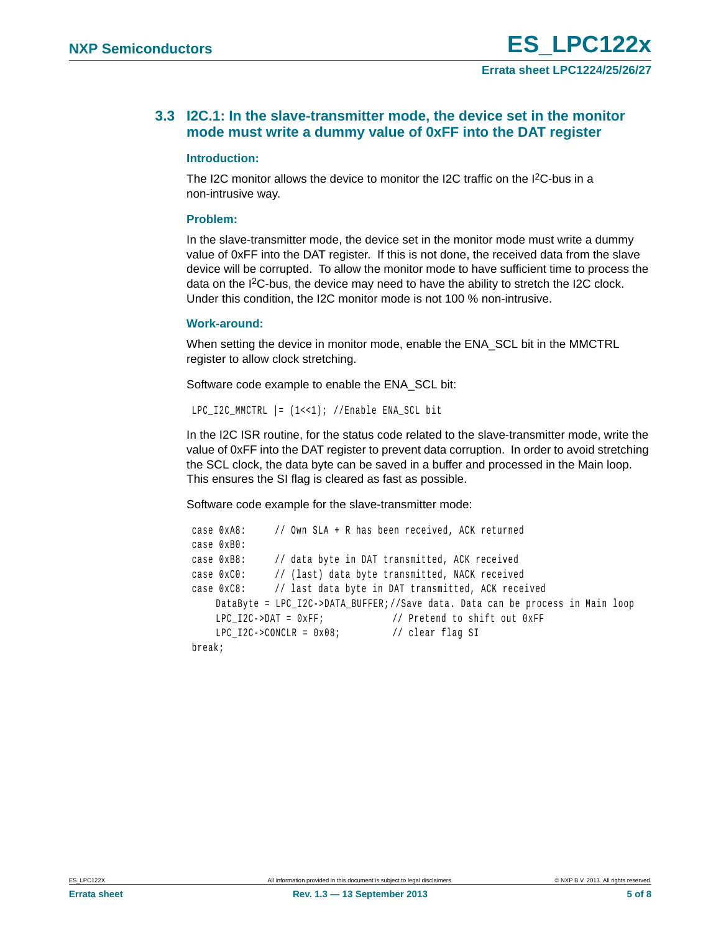### <span id="page-4-0"></span>**3.3 I2C.1: In the slave-transmitter mode, the device set in the monitor mode must write a dummy value of 0xFF into the DAT register**

#### <span id="page-4-1"></span>**Introduction:**

The I2C monitor allows the device to monitor the I2C traffic on the I2C-bus in a non-intrusive way.

#### <span id="page-4-2"></span>**Problem:**

In the slave-transmitter mode, the device set in the monitor mode must write a dummy value of 0xFF into the DAT register. If this is not done, the received data from the slave device will be corrupted. To allow the monitor mode to have sufficient time to process the data on the I<sup>2</sup>C-bus, the device may need to have the ability to stretch the I2C clock. Under this condition, the I2C monitor mode is not 100 % non-intrusive.

#### <span id="page-4-3"></span>**Work-around:**

When setting the device in monitor mode, enable the ENA\_SCL bit in the MMCTRL register to allow clock stretching.

Software code example to enable the ENA\_SCL bit:

```
LPC I2C MMCTRL | = (1 \lt \lt 1); //Enable ENA SCL bit
```
In the I2C ISR routine, for the status code related to the slave-transmitter mode, write the value of 0xFF into the DAT register to prevent data corruption. In order to avoid stretching the SCL clock, the data byte can be saved in a buffer and processed in the Main loop. This ensures the SI flag is cleared as fast as possible.

Software code example for the slave-transmitter mode:

```
 case 0xA8: // Own SLA + R has been received, ACK returned 
case 0xB0:
case 0xB8: // data byte in DAT transmitted, ACK received
case 0xC0: // (last) data byte transmitted, NACK received
case 0xC8: // last data byte in DAT transmitted, ACK received
   DataByte = LPC_I2C->DATA_BUFFER;//Save data. Data can be process in Main loop
   LPC I2C->DAT = 0xFF; // Pretend to shift out 0xFF
   LPC_12C->CONCLR = 0x08; // clear flag SI
break;
```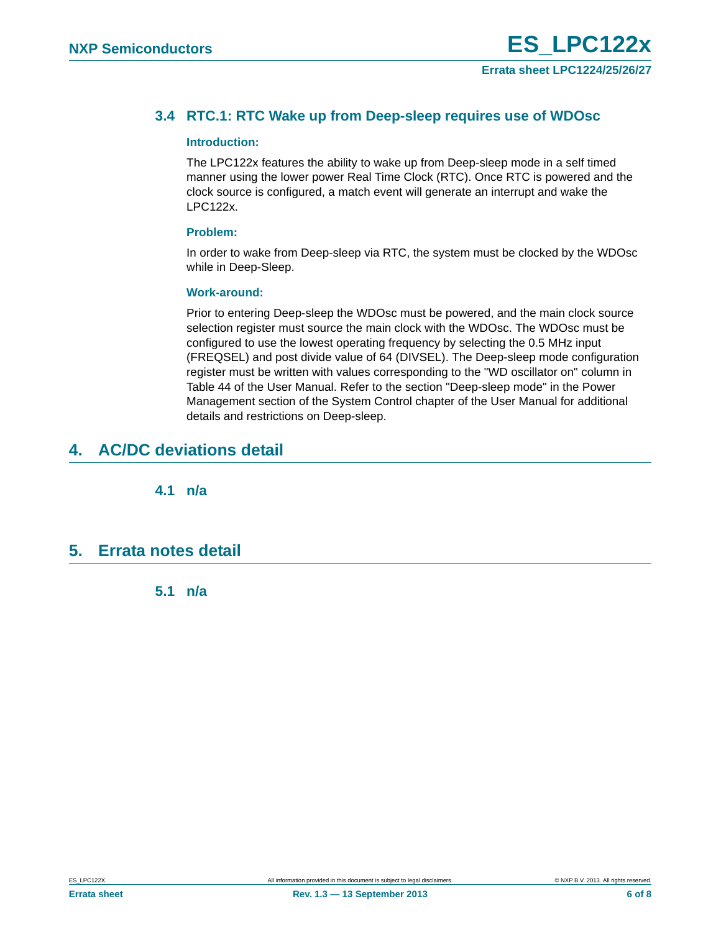### <span id="page-5-0"></span>**3.4 RTC.1: RTC Wake up from Deep-sleep requires use of WDOsc**

#### <span id="page-5-1"></span>**Introduction:**

The LPC122x features the ability to wake up from Deep-sleep mode in a self timed manner using the lower power Real Time Clock (RTC). Once RTC is powered and the clock source is configured, a match event will generate an interrupt and wake the LPC122x.

#### <span id="page-5-2"></span>**Problem:**

In order to wake from Deep-sleep via RTC, the system must be clocked by the WDOsc while in Deep-Sleep.

#### <span id="page-5-3"></span>**Work-around:**

Prior to entering Deep-sleep the WDOsc must be powered, and the main clock source selection register must source the main clock with the WDOsc. The WDOsc must be configured to use the lowest operating frequency by selecting the 0.5 MHz input (FREQSEL) and post divide value of 64 (DIVSEL). The Deep-sleep mode configuration register must be written with values corresponding to the "WD oscillator on" column in Table 44 of the User Manual. Refer to the section "Deep-sleep mode" in the Power Management section of the System Control chapter of the User Manual for additional details and restrictions on Deep-sleep.

# <span id="page-5-5"></span><span id="page-5-4"></span>**4. AC/DC deviations detail**

**4.1 n/a** 

## <span id="page-5-7"></span><span id="page-5-6"></span>**5. Errata notes detail**

**5.1 n/a**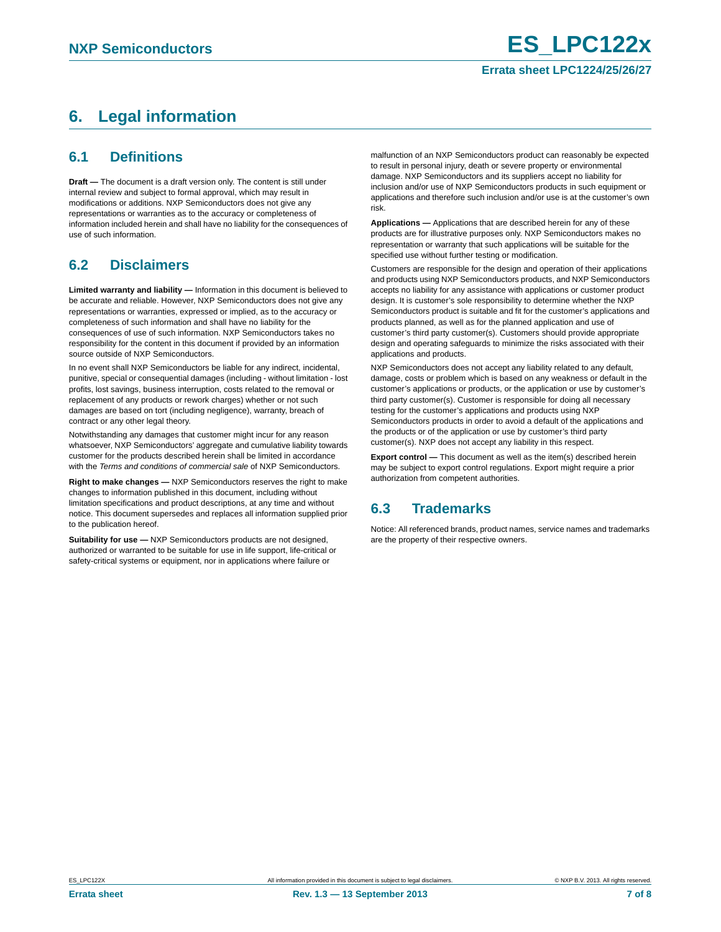# <span id="page-6-0"></span>**6. Legal information**

### <span id="page-6-1"></span>**6.1 Definitions**

**Draft —** The document is a draft version only. The content is still under internal review and subject to formal approval, which may result in modifications or additions. NXP Semiconductors does not give any representations or warranties as to the accuracy or completeness of information included herein and shall have no liability for the consequences of use of such information.

## <span id="page-6-2"></span>**6.2 Disclaimers**

**Limited warranty and liability —** Information in this document is believed to be accurate and reliable. However, NXP Semiconductors does not give any representations or warranties, expressed or implied, as to the accuracy or completeness of such information and shall have no liability for the consequences of use of such information. NXP Semiconductors takes no responsibility for the content in this document if provided by an information source outside of NXP Semiconductors.

In no event shall NXP Semiconductors be liable for any indirect, incidental, punitive, special or consequential damages (including - without limitation - lost profits, lost savings, business interruption, costs related to the removal or replacement of any products or rework charges) whether or not such damages are based on tort (including negligence), warranty, breach of contract or any other legal theory.

Notwithstanding any damages that customer might incur for any reason whatsoever, NXP Semiconductors' aggregate and cumulative liability towards customer for the products described herein shall be limited in accordance with the *Terms and conditions of commercial sale* of NXP Semiconductors.

**Right to make changes —** NXP Semiconductors reserves the right to make changes to information published in this document, including without limitation specifications and product descriptions, at any time and without notice. This document supersedes and replaces all information supplied prior to the publication hereof.

**Suitability for use —** NXP Semiconductors products are not designed, authorized or warranted to be suitable for use in life support, life-critical or safety-critical systems or equipment, nor in applications where failure or

malfunction of an NXP Semiconductors product can reasonably be expected to result in personal injury, death or severe property or environmental damage. NXP Semiconductors and its suppliers accept no liability for inclusion and/or use of NXP Semiconductors products in such equipment or applications and therefore such inclusion and/or use is at the customer's own risk.

**Applications —** Applications that are described herein for any of these products are for illustrative purposes only. NXP Semiconductors makes no representation or warranty that such applications will be suitable for the specified use without further testing or modification.

Customers are responsible for the design and operation of their applications and products using NXP Semiconductors products, and NXP Semiconductors accepts no liability for any assistance with applications or customer product design. It is customer's sole responsibility to determine whether the NXP Semiconductors product is suitable and fit for the customer's applications and products planned, as well as for the planned application and use of customer's third party customer(s). Customers should provide appropriate design and operating safeguards to minimize the risks associated with their applications and products.

NXP Semiconductors does not accept any liability related to any default, damage, costs or problem which is based on any weakness or default in the customer's applications or products, or the application or use by customer's third party customer(s). Customer is responsible for doing all necessary testing for the customer's applications and products using NXP Semiconductors products in order to avoid a default of the applications and the products or of the application or use by customer's third party customer(s). NXP does not accept any liability in this respect.

**Export control —** This document as well as the item(s) described herein may be subject to export control regulations. Export might require a prior authorization from competent authorities.

## <span id="page-6-3"></span>**6.3 Trademarks**

Notice: All referenced brands, product names, service names and trademarks are the property of their respective owners.